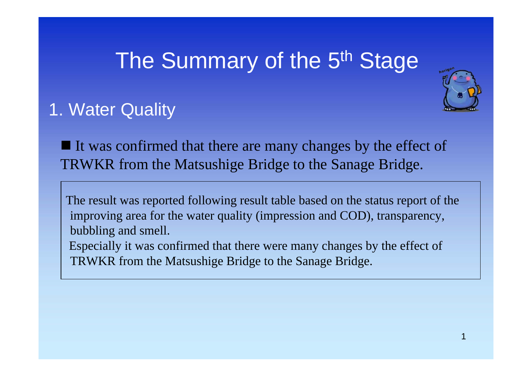# The Summary of the 5<sup>th</sup> Sta[ge](mailto:2010@horikawa1000nin.jp)



## 1. Water Quality

 $\blacksquare$  It was confirmed that there are many changes by the effect of TRWKR from the Matsushige Bridge to the Sanage Bridge.

The result was reported following result table based on the status report of the improving area for the water quality (impression and COD), transparency, bubbling and smell.

Especially it was confirmed that there were many changes by the effect of TRWKR from the Matsushige Bridge to the Sanage Bridge.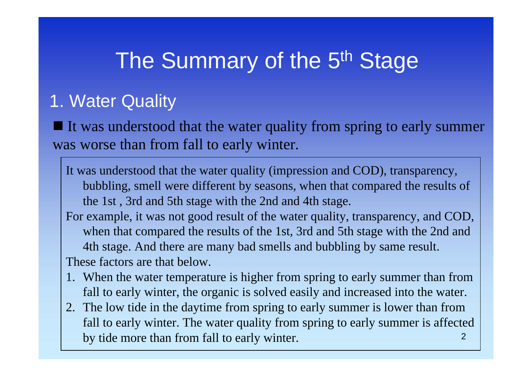### 1. Water Quality

 $\blacksquare$  It was understood that the water quality from spring to early summer was worse than from fall to early winter.

- It was understood that the water quality (impression and COD), transparency, bubbling, smell were different by seasons, when that compared the results of the 1st , 3rd and 5th stage with the 2nd and 4th stage.
- For example, it was not good result of the water quality, transparency, and COD, when that compared the results of the 1st, 3rd and 5th stage with the 2nd and 4th stage. And there are many bad smells and bubbling by same result. These factors are that below.
- 1. When the water temperature is higher from spring to early summer than from fall to early winter, the organic is solved easily and increased into the water.
- 22. The low tide in the daytime from spring to early summer is lower than from fall to early winter. The water quality from spring to early summer is affected by tide more than from fall to early winter.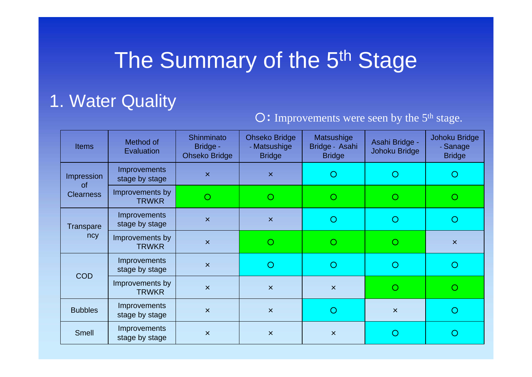### 1. Water Quality

#### O: Improvements were seen by the 5<sup>th</sup> stage.

| <b>Items</b>                                | Method of<br>Evaluation               | Shinminato<br>Bridge -<br><b>Ohseko Bridge</b> | <b>Ohseko Bridge</b><br>- Matsushige<br><b>Bridge</b> | Matsushige<br>Bridge - Asahi<br><b>Bridge</b> | Asahi Bridge -<br>Johoku Bridge | Johoku Bridge<br>- Sanage<br><b>Bridge</b> |
|---------------------------------------------|---------------------------------------|------------------------------------------------|-------------------------------------------------------|-----------------------------------------------|---------------------------------|--------------------------------------------|
| Impression<br><b>of</b><br><b>Clearness</b> | <b>Improvements</b><br>stage by stage | $\pmb{\times}$                                 | $\boldsymbol{\mathsf{x}}$                             | $\cup$                                        |                                 | O                                          |
|                                             | Improvements by<br><b>TRWKR</b>       | $\circ$                                        |                                                       |                                               |                                 | O                                          |
| <b>Transpare</b><br>ncy                     | <b>Improvements</b><br>stage by stage | $\overline{\mathsf{x}}$                        | $\boldsymbol{\mathsf{x}}$                             | O                                             | ∩                               | ∩                                          |
|                                             | Improvements by<br><b>TRWKR</b>       | $\overline{\mathsf{x}}$                        |                                                       |                                               |                                 | $\overline{\mathsf{x}}$                    |
| <b>COD</b>                                  | <b>Improvements</b><br>stage by stage | $\overline{\mathsf{x}}$                        | ∩                                                     | O                                             |                                 | ∩                                          |
|                                             | Improvements by<br><b>TRWKR</b>       | $\overline{\mathsf{x}}$                        | $\boldsymbol{\mathsf{x}}$                             | $\pmb{\times}$                                |                                 | ∩                                          |
| <b>Bubbles</b>                              | Improvements<br>stage by stage        | $\times$                                       | $\boldsymbol{\times}$                                 | O                                             | $\mathsf{x}$                    | ∩                                          |
| <b>Smell</b>                                | Improvements<br>stage by stage        | $\boldsymbol{\mathsf{x}}$                      | $\overline{\mathsf{x}}$                               | $\pmb{\times}$                                |                                 |                                            |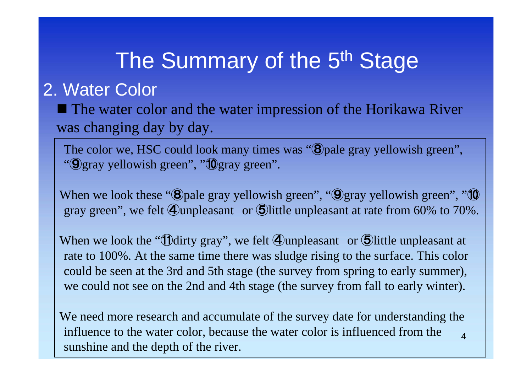#### 2. Water Color

■ The water color and the water impression of the Horikawa River was changing day by day.

The color we, HSC could look many times was "<sup>(8)</sup> pale gray yellowish green", "⑨gray yellowish green", " ⑩gray green".

When we look these "<sup>(3)</sup>pale gray yellowish green", "<sup>(3)</sup>gray yellowish green", "<sup>10</sup> gray green", we felt ④unpleasant or ⑤little unpleasant at rate from 60% to 70%.

When we look the "**U**dirty gray", we felt **4** unpleasant or **5** little unpleasant at rate to 100%. At the same time there was sludge rising to the surface. This color could be seen at the 3rd and 5th stage (the survey from spring to early summer), we could not see on the 2nd and 4th stage (the survey from fall to early winter).

4We need more research and accumulate of the survey date for understanding the influence to the water color, because the water color is influenced from the sunshine and the depth of the river.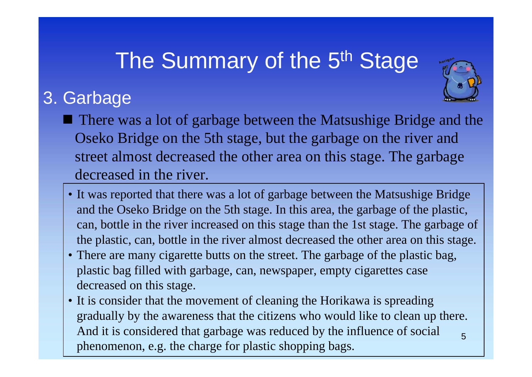## 3. Garbage



- It was reported that there was a lot of garbage between the Matsushige Bridge and the Oseko Bridge on the 5th stage. In this area, the garbage of the plastic, can, bottle in the river increased on this stage than the 1st stage. The garbage of the plastic, can, bottle in the river almost decreased the other area on this stage.
- There are many cigarette butts on the street. The garbage of the plastic bag, plastic bag filled with garbage, can, newspaper, empty cigarettes case decreased on this stage.
- 5• It is consider that the movement of cleaning the Horikawa is spreading gradually by the awareness that the citizens who would like to clean up there. And it is considered that garbage was reduced by the influence of social phenomenon, e.g. the charge for plastic shopping bags.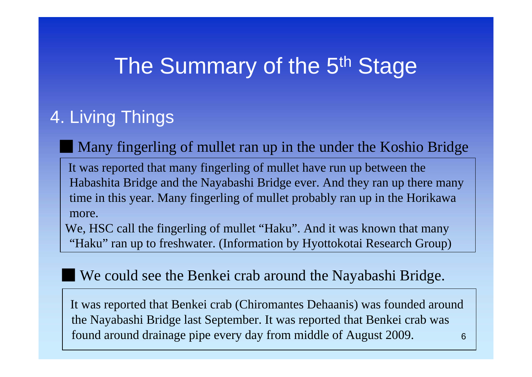#### 4. Living Things

Many fingerling of mullet ran up in the under the Koshio Bridge

It was reported that many fingerling of mullet have run up between the Habashita Bridge and the Nayabashi Bridge ever. And they ran up there many time in this year. Many fingerling of mullet probably ran up in the Horikawa more.

We, HSC call the fingerling of mullet "Haku". And it was known that many "Haku" ran up to freshwater. (Information by Hyottokotai Research Group)

#### We could see the Benkei crab around the Nayabashi Bridge.

6It was reported that Benkei crab (Chiromantes Dehaanis) was founded around the Nayabashi Bridge last September. It was reported that Benkei crab was found around drainage pipe every day from middle of August 2009.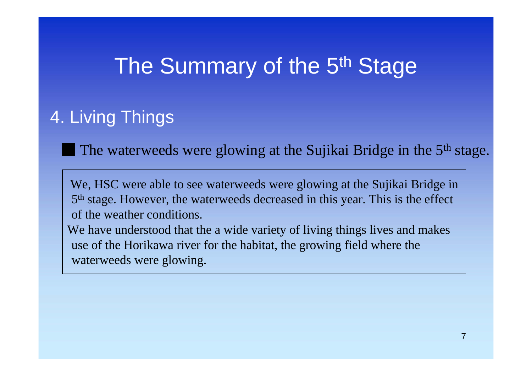### 4. Living Things

The waterweeds were glowing at the Sujikai Bridge in the 5<sup>th</sup> stage.

We, HSC were able to see waterweeds were glowing at the Sujikai Bridge in 5th stage. However, the waterweeds decreased in this year. This is the effect of the weather conditions.

We have understood that the a wide variety of living things lives and makes use of the Horikawa river for the habitat, the growing field where the waterweeds were glowing.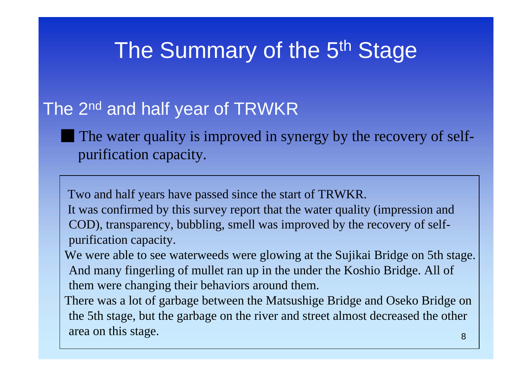#### The 2<sup>nd</sup> and half year of TRWKR

The water quality is improved in synergy by the recovery of selfpurification capacity.

Two and half years have passed since the start of TRWKR. It was confirmed by this survey report that the water quality (impression and COD), transparency, bubbling, smell was improved by the recovery of selfpurification capacity.

We were able to see waterweeds were glowing at the Sujikai Bridge on 5th stage. And many fingerling of mullet ran up in the under the Koshio Bridge. All of them were changing their behaviors around them.

8There was a lot of garbage between the Matsushige Bridge and Oseko Bridge on the 5th stage, but the garbage on the river and street almost decreased the other area on this stage.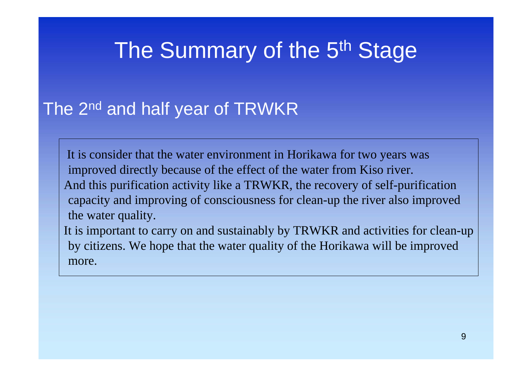### The 2<sup>nd</sup> and half year of TRWKR

It is consider that the water environment in Horikawa for two years was improved directly because of the effect of the water from Kiso river. And this purification activity like a TRWKR, the recovery of self-purification capacity and improving of consciousness for clean-up the river also improved the water quality.

It is important to carry on and sustainably by TRWKR and activities for clean-up by citizens. We hope that the water quality of the Horikawa will be improved more.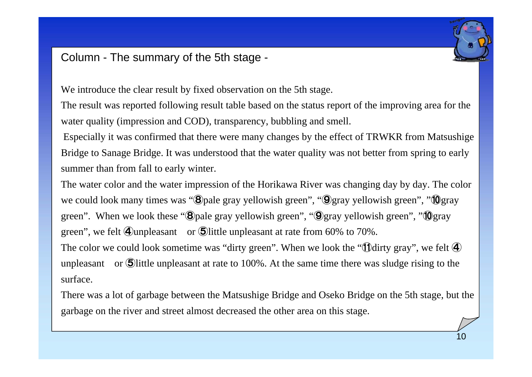

#### Column - The summary of the 5th stage -

We introduce the clear result by fixed observation on the 5th stage.

The result was reported following result table based on the status report of the improving area for the water quality (impression and COD), transparency, bubbling and smell.

Especially it was confirmed that there were many changes by the effect of TRWKR from Matsushige Bridge to Sanage Bridge. It was understood that the water quality was not better from spring to early summer than from fall to early winter.

The water color and the water impression of the Horikawa River was changing day by day. The color we could look many times was "<sup>3</sup>O pale gray yellowish green", "<sup>3</sup>O gray yellowish green", "<sup>1</sup>O gray green". When we look these "<sup>\*</sup>Oot alle gray yellowish green", "<sup>\*</sup>Ogray yellowish green", "<sup>\*</sup>Ogray green", we felt ④unpleasant or ⑤little unpleasant at rate from 60% to 70%. The color we could look sometime was "dirty green". When we look the "**1D**dirty gray", we felt  $\Phi$ unpleasant or **S** little unpleasant at rate to 100%. At the same time there was sludge rising to the

surface.

There was a lot of garbage between the Matsushige Bridge and Oseko Bridge on the 5th stage, but the garbage on the river and street almost decreased the other area on this stage.